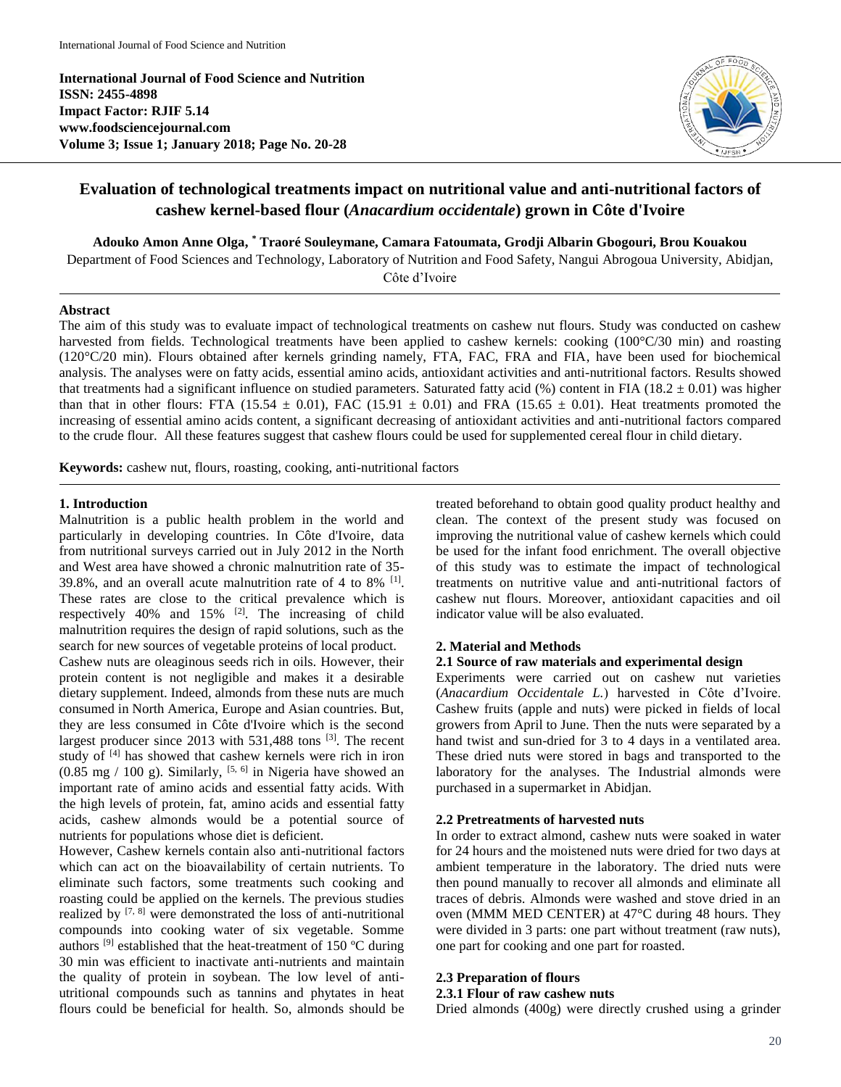**International Journal of Food Science and Nutrition ISSN: 2455-4898 Impact Factor: RJIF 5.14 www.foodsciencejournal.com Volume 3; Issue 1; January 2018; Page No. 20-28**



# **Evaluation of technological treatments impact on nutritional value and anti-nutritional factors of cashew kernel-based flour (***Anacardium occidentale***) grown in Côte d'Ivoire**

**Adouko Amon Anne Olga, \* Traoré Souleymane, Camara Fatoumata, Grodji Albarin Gbogouri, Brou Kouakou**

Department of Food Sciences and Technology, Laboratory of Nutrition and Food Safety, Nangui Abrogoua University, Abidjan,

Côte d'Ivoire

#### **Abstract**

The aim of this study was to evaluate impact of technological treatments on cashew nut flours. Study was conducted on cashew harvested from fields. Technological treatments have been applied to cashew kernels: cooking (100°C/30 min) and roasting (120°C/20 min). Flours obtained after kernels grinding namely, FTA, FAC, FRA and FIA, have been used for biochemical analysis. The analyses were on fatty acids, essential amino acids, antioxidant activities and anti-nutritional factors. Results showed that treatments had a significant influence on studied parameters. Saturated fatty acid  $%$  content in FIA (18.2  $\pm$  0.01) was higher than that in other flours: FTA (15.54  $\pm$  0.01), FAC (15.91  $\pm$  0.01) and FRA (15.65  $\pm$  0.01). Heat treatments promoted the increasing of essential amino acids content, a significant decreasing of antioxidant activities and anti-nutritional factors compared to the crude flour. All these features suggest that cashew flours could be used for supplemented cereal flour in child dietary.

**Keywords:** cashew nut, flours, roasting, cooking, anti-nutritional factors

# **1. Introduction**

Malnutrition is a public health problem in the world and particularly in developing countries. In Côte d'Ivoire, data from nutritional surveys carried out in July 2012 in the North and West area have showed a chronic malnutrition rate of 35- 39.8%, and an overall acute malnutrition rate of 4 to  $8\%$  [1]. These rates are close to the critical prevalence which is respectively 40% and 15% [2]. The increasing of child malnutrition requires the design of rapid solutions, such as the search for new sources of vegetable proteins of local product. Cashew nuts are oleaginous seeds rich in oils. However, their protein content is not negligible and makes it a desirable dietary supplement. Indeed, almonds from these nuts are much consumed in North America, Europe and Asian countries. But, they are less consumed in Côte d'Ivoire which is the second largest producer since 2013 with 531,488 tons [3]. The recent study of [4] has showed that cashew kernels were rich in iron  $(0.85 \text{ mg} / 100 \text{ g})$ . Similarly, <sup>[5, 6]</sup> in Nigeria have showed an important rate of amino acids and essential fatty acids. With the high levels of protein, fat, amino acids and essential fatty acids, cashew almonds would be a potential source of

nutrients for populations whose diet is deficient. However, Cashew kernels contain also anti-nutritional factors which can act on the bioavailability of certain nutrients. To eliminate such factors, some treatments such cooking and roasting could be applied on the kernels. The previous studies realized by [7, 8] were demonstrated the loss of anti-nutritional compounds into cooking water of six vegetable. Somme authors  $[9]$  established that the heat-treatment of 150 °C during 30 min was efficient to inactivate anti-nutrients and maintain the quality of protein in soybean. The low level of antiutritional compounds such as tannins and phytates in heat flours could be beneficial for health. So, almonds should be

treated beforehand to obtain good quality product healthy and clean. The context of the present study was focused on improving the nutritional value of cashew kernels which could be used for the infant food enrichment. The overall objective of this study was to estimate the impact of technological treatments on nutritive value and anti-nutritional factors of cashew nut flours. Moreover, antioxidant capacities and oil indicator value will be also evaluated.

# **2. Material and Methods**

#### **2.1 Source of raw materials and experimental design**

Experiments were carried out on cashew nut varieties (*Anacardium Occidentale L.*) harvested in Côte d'Ivoire. Cashew fruits (apple and nuts) were picked in fields of local growers from April to June. Then the nuts were separated by a hand twist and sun-dried for 3 to 4 days in a ventilated area. These dried nuts were stored in bags and transported to the laboratory for the analyses. The Industrial almonds were purchased in a supermarket in Abidjan.

# **2.2 Pretreatments of harvested nuts**

In order to extract almond, cashew nuts were soaked in water for 24 hours and the moistened nuts were dried for two days at ambient temperature in the laboratory. The dried nuts were then pound manually to recover all almonds and eliminate all traces of debris. Almonds were washed and stove dried in an oven (MMM MED CENTER) at 47°C during 48 hours. They were divided in 3 parts: one part without treatment (raw nuts), one part for cooking and one part for roasted.

# **2.3 Preparation of flours**

#### **2.3.1 Flour of raw cashew nuts**

Dried almonds (400g) were directly crushed using a grinder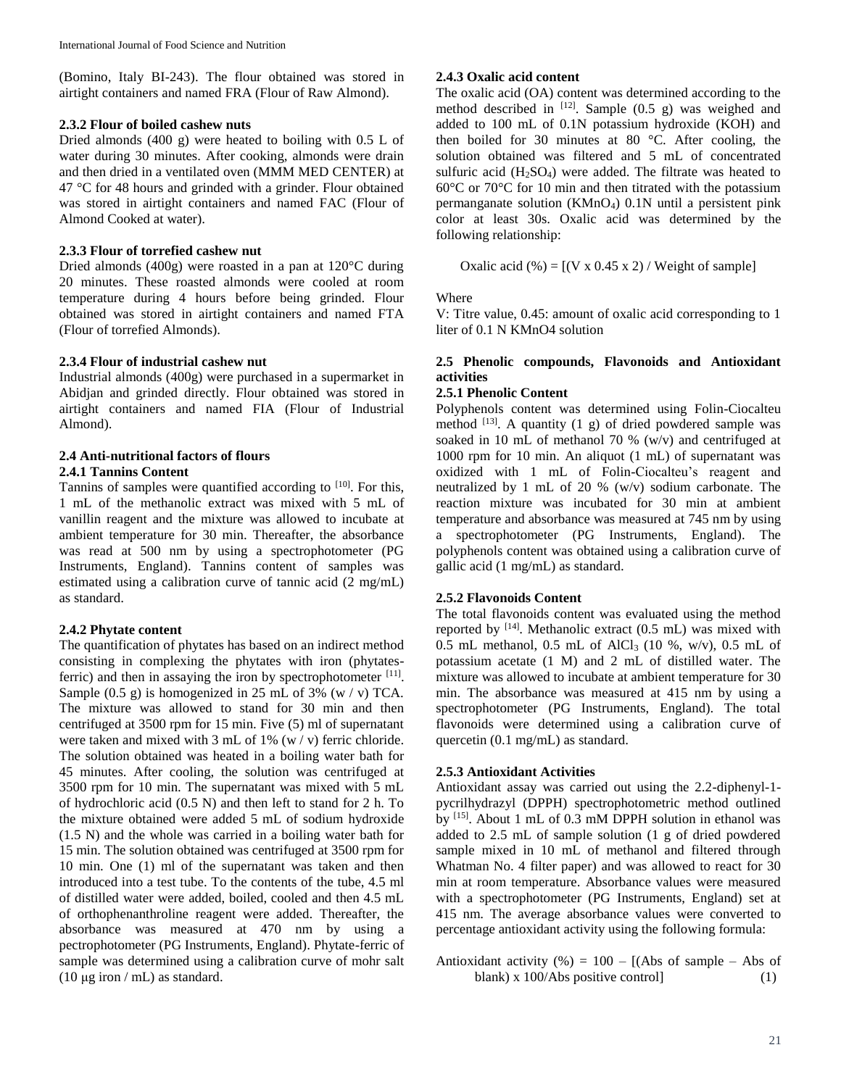(Bomino, Italy BI-243). The flour obtained was stored in airtight containers and named FRA (Flour of Raw Almond).

### **2.3.2 Flour of boiled cashew nuts**

Dried almonds (400 g) were heated to boiling with 0.5 L of water during 30 minutes. After cooking, almonds were drain and then dried in a ventilated oven (MMM MED CENTER) at 47 °C for 48 hours and grinded with a grinder. Flour obtained was stored in airtight containers and named FAC (Flour of Almond Cooked at water).

# **2.3.3 Flour of torrefied cashew nut**

Dried almonds (400g) were roasted in a pan at 120°C during 20 minutes. These roasted almonds were cooled at room temperature during 4 hours before being grinded. Flour obtained was stored in airtight containers and named FTA (Flour of torrefied Almonds).

### **2.3.4 Flour of industrial cashew nut**

Industrial almonds (400g) were purchased in a supermarket in Abidjan and grinded directly. Flour obtained was stored in airtight containers and named FIA (Flour of Industrial Almond).

### **2.4 Anti-nutritional factors of flours 2.4.1 Tannins Content**

Tannins of samples were quantified according to  $[10]$ . For this, 1 mL of the methanolic extract was mixed with 5 mL of vanillin reagent and the mixture was allowed to incubate at ambient temperature for 30 min. Thereafter, the absorbance was read at 500 nm by using a spectrophotometer (PG Instruments, England). Tannins content of samples was estimated using a calibration curve of tannic acid (2 mg/mL) as standard.

# **2.4.2 Phytate content**

The quantification of phytates has based on an indirect method consisting in complexing the phytates with iron (phytatesferric) and then in assaying the iron by spectrophotometer [11]. Sample  $(0.5 \text{ g})$  is homogenized in 25 mL of 3% (w / v) TCA. The mixture was allowed to stand for 30 min and then centrifuged at 3500 rpm for 15 min. Five (5) ml of supernatant were taken and mixed with 3 mL of 1% (w / v) ferric chloride. The solution obtained was heated in a boiling water bath for 45 minutes. After cooling, the solution was centrifuged at 3500 rpm for 10 min. The supernatant was mixed with 5 mL of hydrochloric acid (0.5 N) and then left to stand for 2 h. To the mixture obtained were added 5 mL of sodium hydroxide (1.5 N) and the whole was carried in a boiling water bath for 15 min. The solution obtained was centrifuged at 3500 rpm for 10 min. One (1) ml of the supernatant was taken and then introduced into a test tube. To the contents of the tube, 4.5 ml of distilled water were added, boiled, cooled and then 4.5 mL of orthophenanthroline reagent were added. Thereafter, the absorbance was measured at 470 nm by using a pectrophotometer (PG Instruments, England). Phytate-ferric of sample was determined using a calibration curve of mohr salt (10  $\mu$ g iron / mL) as standard.

# **2.4.3 Oxalic acid content**

The oxalic acid (OA) content was determined according to the method described in  $[12]$ . Sample (0.5 g) was weighed and added to 100 mL of 0.1N potassium hydroxide (KOH) and then boiled for 30 minutes at 80 °C. After cooling, the solution obtained was filtered and 5 mL of concentrated sulfuric acid  $(H_2SO_4)$  were added. The filtrate was heated to 60°C or 70°C for 10 min and then titrated with the potassium permanganate solution (KMnO4) 0.1N until a persistent pink color at least 30s. Oxalic acid was determined by the following relationship:

Oxalic acid  $(\%) = [(V \times 0.45 \times 2) /$  Weight of sample]

Where

V: Titre value, 0.45: amount of oxalic acid corresponding to 1 liter of 0.1 N KMnO4 solution

### **2.5 Phenolic compounds, Flavonoids and Antioxidant activities**

# **2.5.1 Phenolic Content**

Polyphenols content was determined using Folin-Ciocalteu method  $^{[13]}$ . A quantity (1 g) of dried powdered sample was soaked in 10 mL of methanol 70 %  $(w/v)$  and centrifuged at 1000 rpm for 10 min. An aliquot (1 mL) of supernatant was oxidized with 1 mL of Folin-Ciocalteu's reagent and neutralized by 1 mL of 20 % (w/v) sodium carbonate. The reaction mixture was incubated for 30 min at ambient temperature and absorbance was measured at 745 nm by using a spectrophotometer (PG Instruments, England). The polyphenols content was obtained using a calibration curve of gallic acid (1 mg/mL) as standard.

# **2.5.2 Flavonoids Content**

The total flavonoids content was evaluated using the method reported by [14]. Methanolic extract (0.5 mL) was mixed with 0.5 mL methanol, 0.5 mL of AlCl<sup>3</sup> (10 %, w/v), 0.5 mL of potassium acetate (1 M) and 2 mL of distilled water. The mixture was allowed to incubate at ambient temperature for 30 min. The absorbance was measured at 415 nm by using a spectrophotometer (PG Instruments, England). The total flavonoids were determined using a calibration curve of quercetin (0.1 mg/mL) as standard.

# **2.5.3 Antioxidant Activities**

Antioxidant assay was carried out using the 2.2-diphenyl-1 pycrilhydrazyl (DPPH) spectrophotometric method outlined by [15]. About 1 mL of 0.3 mM DPPH solution in ethanol was added to 2.5 mL of sample solution (1 g of dried powdered sample mixed in 10 mL of methanol and filtered through Whatman No. 4 filter paper) and was allowed to react for 30 min at room temperature. Absorbance values were measured with a spectrophotometer (PG Instruments, England) set at 415 nm. The average absorbance values were converted to percentage antioxidant activity using the following formula:

Antioxidant activity (%) =  $100 - [(Abs\ of\ sample - Abs\ of\$ blank) x 100/Abs positive control (1)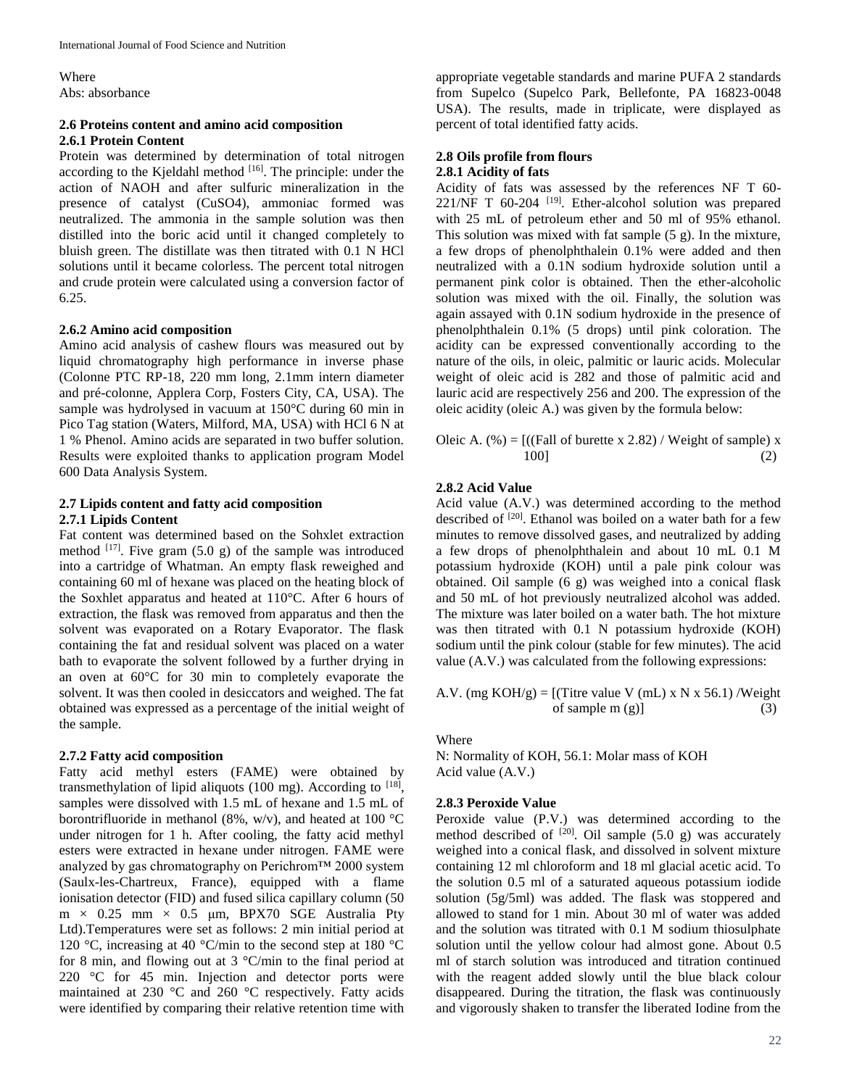Where Abs: absorbance

#### **2.6 Proteins content and amino acid composition 2.6.1 Protein Content**

Protein was determined by determination of total nitrogen according to the Kjeldahl method [16]. The principle: under the action of NAOH and after sulfuric mineralization in the presence of catalyst (CuSO4), ammoniac formed was neutralized. The ammonia in the sample solution was then distilled into the boric acid until it changed completely to bluish green. The distillate was then titrated with 0.1 N HCl solutions until it became colorless. The percent total nitrogen and crude protein were calculated using a conversion factor of 6.25.

#### **2.6.2 Amino acid composition**

Amino acid analysis of cashew flours was measured out by liquid chromatography high performance in inverse phase (Colonne PTC RP-18, 220 mm long, 2.1mm intern diameter and pré-colonne, Applera Corp, Fosters City, CA, USA). The sample was hydrolysed in vacuum at 150°C during 60 min in Pico Tag station (Waters, Milford, MA, USA) with HCl 6 N at 1 % Phenol. Amino acids are separated in two buffer solution. Results were exploited thanks to application program Model 600 Data Analysis System.

#### **2.7 Lipids content and fatty acid composition 2.7.1 Lipids Content**

Fat content was determined based on the Sohxlet extraction method  $[17]$ . Five gram (5.0 g) of the sample was introduced into a cartridge of Whatman. An empty flask reweighed and containing 60 ml of hexane was placed on the heating block of the Soxhlet apparatus and heated at 110°C. After 6 hours of extraction, the flask was removed from apparatus and then the solvent was evaporated on a Rotary Evaporator. The flask containing the fat and residual solvent was placed on a water bath to evaporate the solvent followed by a further drying in an oven at 60°C for 30 min to completely evaporate the solvent. It was then cooled in desiccators and weighed. The fat obtained was expressed as a percentage of the initial weight of the sample.

#### **2.7.2 Fatty acid composition**

Fatty acid methyl esters (FAME) were obtained by transmethylation of lipid aliquots (100 mg). According to  $^{[18]}$ , samples were dissolved with 1.5 mL of hexane and 1.5 mL of borontrifluoride in methanol (8%, w/v), and heated at 100  $^{\circ}$ C under nitrogen for 1 h. After cooling, the fatty acid methyl esters were extracted in hexane under nitrogen. FAME were analyzed by gas chromatography on Perichrom™ 2000 system (Saulx-les-Chartreux, France), equipped with a flame ionisation detector (FID) and fused silica capillary column (50  $m \times 0.25$  mm  $\times 0.5$  μm, BPX70 SGE Australia Pty Ltd).Temperatures were set as follows: 2 min initial period at 120 °C, increasing at 40 °C/min to the second step at 180 °C for 8 min, and flowing out at 3 °C/min to the final period at 220 °C for 45 min. Injection and detector ports were maintained at 230 °C and 260 °C respectively. Fatty acids were identified by comparing their relative retention time with

appropriate vegetable standards and marine PUFA 2 standards from Supelco (Supelco Park, Bellefonte, PA 16823-0048 USA). The results, made in triplicate, were displayed as percent of total identified fatty acids.

#### **2.8 Oils profile from flours 2.8.1 Acidity of fats**

Acidity of fats was assessed by the references NF T 60- 221/NF T 60-204 [19]. Ether-alcohol solution was prepared with 25 mL of petroleum ether and 50 ml of 95% ethanol. This solution was mixed with fat sample (5 g). In the mixture, a few drops of phenolphthalein 0.1% were added and then neutralized with a 0.1N sodium hydroxide solution until a permanent pink color is obtained. Then the ether-alcoholic solution was mixed with the oil. Finally, the solution was again assayed with 0.1N sodium hydroxide in the presence of phenolphthalein 0.1% (5 drops) until pink coloration. The acidity can be expressed conventionally according to the nature of the oils, in oleic, palmitic or lauric acids. Molecular weight of oleic acid is 282 and those of palmitic acid and lauric acid are respectively 256 and 200. The expression of the oleic acidity (oleic A.) was given by the formula below:

Oleic A. 
$$
(\%) = [((\text{Fall of brute x } 2.82) / \text{Weight of sample}) x
$$
  
100] (2)

#### **2.8.2 Acid Value**

Acid value (A.V.) was determined according to the method described of <sup>[20]</sup>. Ethanol was boiled on a water bath for a few minutes to remove dissolved gases, and neutralized by adding a few drops of phenolphthalein and about 10 mL 0.1 M potassium hydroxide (KOH) until a pale pink colour was obtained. Oil sample (6 g) was weighed into a conical flask and 50 mL of hot previously neutralized alcohol was added. The mixture was later boiled on a water bath. The hot mixture was then titrated with 0.1 N potassium hydroxide (KOH) sodium until the pink colour (stable for few minutes). The acid value (A.V.) was calculated from the following expressions:

A.V. (mg  $KOH/g$ ) = [(Titre value V (mL) x N x 56.1) /Weight of sample  $m(g)$ ] (3)

Where

N: Normality of KOH, 56.1: Molar mass of KOH Acid value (A.V.)

#### **2.8.3 Peroxide Value**

Peroxide value (P.V.) was determined according to the method described of  $[20]$ . Oil sample (5.0 g) was accurately weighed into a conical flask, and dissolved in solvent mixture containing 12 ml chloroform and 18 ml glacial acetic acid. To the solution 0.5 ml of a saturated aqueous potassium iodide solution (5g/5ml) was added. The flask was stoppered and allowed to stand for 1 min. About 30 ml of water was added and the solution was titrated with 0.1 M sodium thiosulphate solution until the yellow colour had almost gone. About 0.5 ml of starch solution was introduced and titration continued with the reagent added slowly until the blue black colour disappeared. During the titration, the flask was continuously and vigorously shaken to transfer the liberated Iodine from the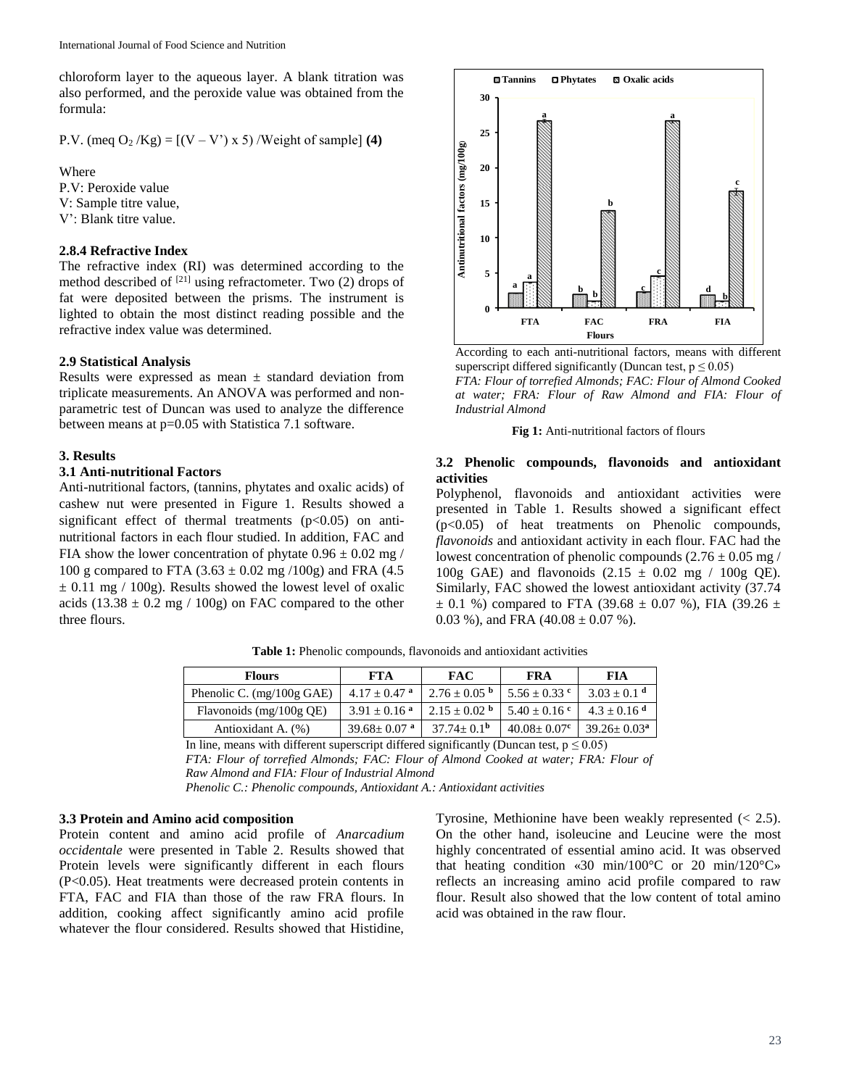chloroform layer to the aqueous layer. A blank titration was also performed, and the peroxide value was obtained from the formula:

P.V. (meq  $O_2$  /Kg) =  $[(V - V') \times 5)$  /Weight of sample] **(4)** 

Where

P.V: Peroxide value V: Sample titre value, V': Blank titre value.

### **2.8.4 Refractive Index**

The refractive index (RI) was determined according to the method described of  $[21]$  using refractometer. Two (2) drops of fat were deposited between the prisms. The instrument is lighted to obtain the most distinct reading possible and the refractive index value was determined.

#### **2.9 Statistical Analysis**

Results were expressed as mean  $\pm$  standard deviation from triplicate measurements. An ANOVA was performed and nonparametric test of Duncan was used to analyze the difference between means at p=0.05 with Statistica 7.1 software.

#### **3. Results**

# **3.1 Anti-nutritional Factors**

Anti-nutritional factors, (tannins, phytates and oxalic acids) of cashew nut were presented in Figure 1. Results showed a significant effect of thermal treatments  $(p<0.05)$  on antinutritional factors in each flour studied. In addition, FAC and FIA show the lower concentration of phytate  $0.96 \pm 0.02$  mg / 100 g compared to FTA  $(3.63 \pm 0.02 \text{ mg } / 100 \text{g})$  and FRA  $(4.5$  $\pm$  0.11 mg / 100g). Results showed the lowest level of oxalic acids  $(13.38 \pm 0.2 \text{ mg} / 100 \text{g})$  on FAC compared to the other three flours.



According to each anti-nutritional factors, means with different superscript differed significantly (Duncan test,  $p \le 0.05$ ) *FTA: Flour of torrefied Almonds; FAC: Flour of Almond Cooked at water; FRA: Flour of Raw Almond and FIA: Flour of Industrial Almond*

**Fig 1:** Anti-nutritional factors of flours

#### **3.2 Phenolic compounds, flavonoids and antioxidant activities**

Polyphenol, flavonoids and antioxidant activities were presented in Table 1. Results showed a significant effect (p<0.05) of heat treatments on Phenolic compounds, *flavonoids* and antioxidant activity in each flour. FAC had the lowest concentration of phenolic compounds  $(2.76 \pm 0.05 \text{ mg})$ 100g GAE) and flavonoids  $(2.15 \pm 0.02 \text{ mg} / 100 \text{g} \text{QE})$ . Similarly, FAC showed the lowest antioxidant activity (37.74  $\pm$  0.1 %) compared to FTA (39.68  $\pm$  0.07 %), FIA (39.26  $\pm$ 0.03 %), and FRA  $(40.08 \pm 0.07)$ %).

| <b>Flours</b>                       | FTA                           | <b>FAC</b>        | FRA                           | FIA                         |
|-------------------------------------|-------------------------------|-------------------|-------------------------------|-----------------------------|
| Phenolic C. $(mg/100g \text{ GAE})$ | $4.17 + 0.47$ <sup>a</sup>    | $2.76 \pm 0.05$ b | $5.56 \pm 0.33$ c             | $3.03 \pm 0.1$ <sup>d</sup> |
| Flavonoids (mg/100g QE)             | $3.91 + 0.16$ <sup>a</sup>    | $2.15 + 0.02$ b   | $5.40 \pm 0.16$ c             | $4.3 + 0.16$ <sup>d</sup>   |
| Antioxidant A. (%)                  | $39.68 \pm 0.07$ <sup>a</sup> | $37.74 + 0.1b$    | $40.08 \pm 0.07$ <sup>c</sup> | $39.26 \pm 0.03^a$          |

**Table 1:** Phenolic compounds, flavonoids and antioxidant activities

In line, means with different superscript differed significantly (Duncan test,  $p \le 0.05$ ) *FTA: Flour of torrefied Almonds; FAC: Flour of Almond Cooked at water; FRA: Flour of* 

*Raw Almond and FIA: Flour of Industrial Almond* 

*Phenolic C.: Phenolic compounds, Antioxidant A.: Antioxidant activities*

#### **3.3 Protein and Amino acid composition**

Protein content and amino acid profile of *Anarcadium occidentale* were presented in Table 2. Results showed that Protein levels were significantly different in each flours (P<0.05). Heat treatments were decreased protein contents in FTA, FAC and FIA than those of the raw FRA flours. In addition, cooking affect significantly amino acid profile whatever the flour considered. Results showed that Histidine,

Tyrosine, Methionine have been weakly represented (< 2.5). On the other hand, isoleucine and Leucine were the most highly concentrated of essential amino acid. It was observed that heating condition  $\ll 30$  min/100 °C or 20 min/120 °C reflects an increasing amino acid profile compared to raw flour. Result also showed that the low content of total amino acid was obtained in the raw flour.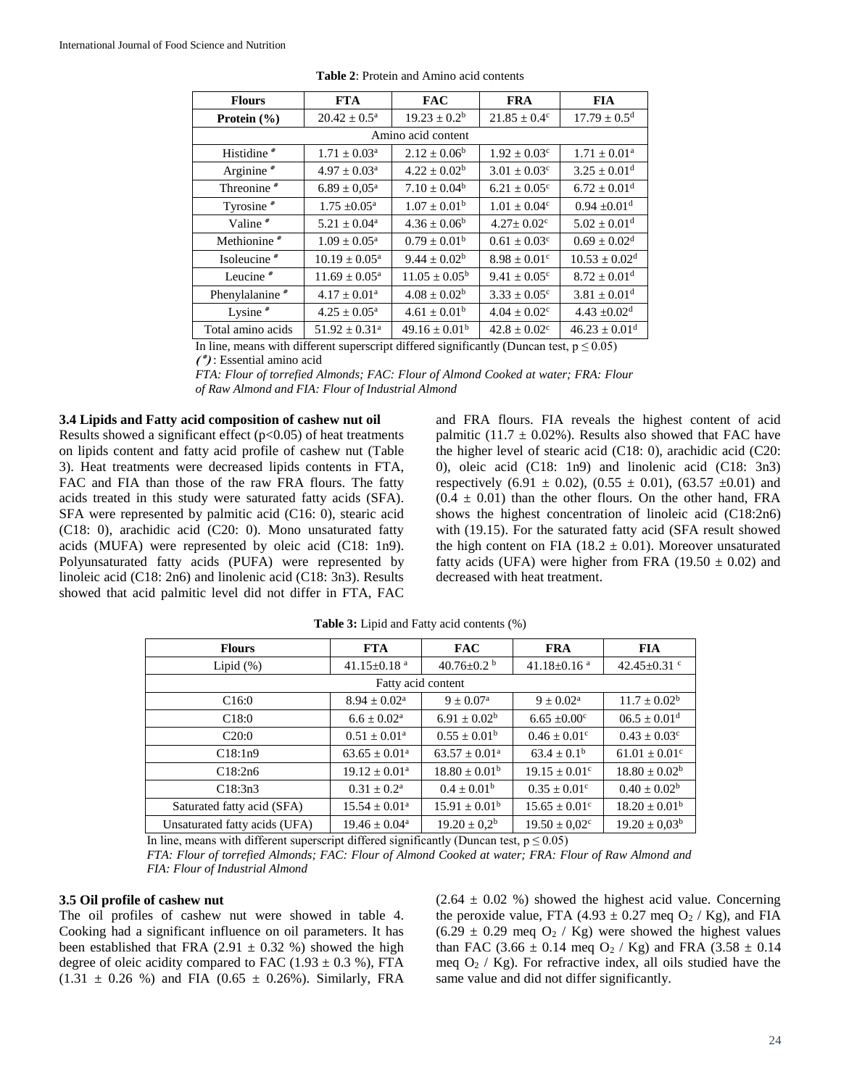| <b>Flours</b>      | <b>FTA</b>                  | <b>FAC</b>               | <b>FRA</b>                   | <b>FIA</b>                    |  |  |
|--------------------|-----------------------------|--------------------------|------------------------------|-------------------------------|--|--|
| Protein $(\% )$    | $20.42 \pm 0.5^{\text{a}}$  | $19.23 \pm 0.2^b$        | $21.85 \pm 0.4^c$            | $17.79 \pm 0.5^{\rm d}$       |  |  |
| Amino acid content |                             |                          |                              |                               |  |  |
| Histidine*         | $1.71 \pm 0.03^{\text{a}}$  | $2.12 \pm 0.06^b$        | $1.92 \pm 0.03$ <sup>c</sup> | $1.71 \pm 0.01^{\text{a}}$    |  |  |
| Arginine*          | $4.97 \pm 0.03^{\text{a}}$  | $4.22 \pm 0.02^b$        | $3.01 \pm 0.03$ <sup>c</sup> | $3.25 \pm 0.01$ <sup>d</sup>  |  |  |
| Threonine*         | $6.89 \pm 0.05^{\text{a}}$  | $7.10 \pm 0.04^b$        | $6.21 \pm 0.05^{\circ}$      | $6.72 \pm 0.01$ <sup>d</sup>  |  |  |
| Tyrosine*          | $1.75 \pm 0.05^{\text{a}}$  | $1.07 \pm 0.01^{\rm b}$  | $1.01 \pm 0.04$ <sup>c</sup> | $0.94 \pm 0.01$ <sup>d</sup>  |  |  |
| Valine*            | $5.21 \pm 0.04^{\text{a}}$  | $4.36 \pm 0.06^b$        | $4.27 \pm 0.02$ <sup>c</sup> | $5.02 \pm 0.01$ <sup>d</sup>  |  |  |
| Methionine*        | $1.09 + 0.05^{\text{a}}$    | $0.79 + 0.01b$           | $0.61 + 0.03^{\circ}$        | $0.69 \pm 0.02$ <sup>d</sup>  |  |  |
| Isoleucine*        | $10.19 \pm 0.05^{\text{a}}$ | $9.44 \pm 0.02^b$        | $8.98 \pm 0.01^{\circ}$      | $10.53 \pm 0.02$ <sup>d</sup> |  |  |
| Leucine $*$        | $11.69 \pm 0.05^{\text{a}}$ | $11.05 \pm 0.05^{\rm b}$ | $9.41 \pm 0.05^{\circ}$      | $8.72 \pm 0.01$ <sup>d</sup>  |  |  |
| Phenylalanine*     | $4.17 \pm 0.01^a$           | $4.08 \pm 0.02^b$        | $3.33 \pm 0.05^{\circ}$      | $3.81 \pm 0.01$ <sup>d</sup>  |  |  |
| Lysine $*$         | $4.25 \pm 0.05^{\text{a}}$  | $4.61 \pm 0.01^{\rm b}$  | $4.04 \pm 0.02$ <sup>c</sup> | $4.43 \pm 0.02$ <sup>d</sup>  |  |  |
| Total amino acids  | $51.92 \pm 0.31^{\circ}$    | $49.16 \pm 0.01^b$       | $42.8 \pm 0.02$ <sup>c</sup> | $46.23 \pm 0.01$ <sup>d</sup> |  |  |

**Table 2**: Protein and Amino acid contents

In line, means with different superscript differed significantly (Duncan test,  $p \le 0.05$ )

**)٭ )**: Essential amino acid

*FTA: Flour of torrefied Almonds; FAC: Flour of Almond Cooked at water; FRA: Flour of Raw Almond and FIA: Flour of Industrial Almond*

#### **3.4 Lipids and Fatty acid composition of cashew nut oil**

Results showed a significant effect  $(p<0.05)$  of heat treatments on lipids content and fatty acid profile of cashew nut (Table 3). Heat treatments were decreased lipids contents in FTA, FAC and FIA than those of the raw FRA flours. The fatty acids treated in this study were saturated fatty acids (SFA). SFA were represented by palmitic acid (C16: 0), stearic acid (C18: 0), arachidic acid (C20: 0). Mono unsaturated fatty acids (MUFA) were represented by oleic acid (C18: 1n9). Polyunsaturated fatty acids (PUFA) were represented by linoleic acid (C18: 2n6) and linolenic acid (C18: 3n3). Results showed that acid palmitic level did not differ in FTA, FAC

and FRA flours. FIA reveals the highest content of acid palmitic (11.7  $\pm$  0.02%). Results also showed that FAC have the higher level of stearic acid (C18: 0), arachidic acid (C20: 0), oleic acid (C18: 1n9) and linolenic acid (C18: 3n3) respectively  $(6.91 \pm 0.02)$ ,  $(0.55 \pm 0.01)$ ,  $(63.57 \pm 0.01)$  and  $(0.4 \pm 0.01)$  than the other flours. On the other hand, FRA shows the highest concentration of linoleic acid (C18:2n6) with (19.15). For the saturated fatty acid (SFA result showed the high content on FIA (18.2  $\pm$  0.01). Moreover unsaturated fatty acids (UFA) were higher from FRA (19.50  $\pm$  0.02) and decreased with heat treatment.

| <b>Flours</b>                 | <b>FTA</b>                    | <b>FAC</b>                   | <b>FRA</b>                    | <b>FIA</b>                    |  |
|-------------------------------|-------------------------------|------------------------------|-------------------------------|-------------------------------|--|
| Lipid $(\%)$                  | 41.15 $\pm$ 0.18 <sup>a</sup> | 40.76 $\pm$ 0.2 <sup>b</sup> | 41.18 $\pm$ 0.16 <sup>a</sup> | 42.45 $\pm$ 0.31 $\degree$    |  |
| Fatty acid content            |                               |                              |                               |                               |  |
| C16:0                         | $8.94 \pm 0.02^{\text{a}}$    | $9 \pm 0.07^{\rm a}$         | $9 \pm 0.02^{\text{a}}$       | $11.7 \pm 0.02^b$             |  |
| C18:0                         | $6.6 \pm 0.02^{\rm a}$        | $6.91 \pm 0.02^b$            | $6.65 \pm 0.00$ <sup>c</sup>  | $06.5 \pm 0.01$ <sup>d</sup>  |  |
| C20:0                         | $0.51 \pm 0.01^{\text{a}}$    | $0.55 \pm 0.01^{\rm b}$      | $0.46 \pm 0.01^{\circ}$       | $0.43 \pm 0.03$ <sup>c</sup>  |  |
| C18:1n9                       | $63.65 \pm 0.01^{\circ}$      | $63.57 \pm 0.01^{\text{a}}$  | $63.4 \pm 0.1^b$              | $61.01 \pm 0.01$ <sup>c</sup> |  |
| C18:2n6                       | $19.12 \pm 0.01^a$            | $18.80 \pm 0.01^{\rm b}$     | $19.15 \pm 0.01^{\circ}$      | $18.80 \pm 0.02^b$            |  |
| C18:3n3                       | $0.31 \pm 0.2^{\rm a}$        | $0.4 \pm 0.01^b$             | $0.35 \pm 0.01$ <sup>c</sup>  | $0.40 \pm 0.02^b$             |  |
| Saturated fatty acid (SFA)    | $15.54 \pm 0.01^{\text{a}}$   | $15.91 \pm 0.01^{\rm b}$     | $15.65 \pm 0.01^{\circ}$      | $18.20 \pm 0.01^b$            |  |
| Unsaturated fatty acids (UFA) | $19.46 \pm 0.04^{\text{a}}$   | $19.20 \pm 0.2^b$            | $19.50 \pm 0.02$ <sup>c</sup> | $19.20 \pm 0.03^b$            |  |

**Table 3:** Lipid and Fatty acid contents (%)

In line, means with different superscript differed significantly (Duncan test,  $p \le 0.05$ )

*FTA: Flour of torrefied Almonds; FAC: Flour of Almond Cooked at water; FRA: Flour of Raw Almond and FIA: Flour of Industrial Almond*

#### **3.5 Oil profile of cashew nut**

The oil profiles of cashew nut were showed in table 4. Cooking had a significant influence on oil parameters. It has been established that FRA (2.91  $\pm$  0.32 %) showed the high degree of oleic acidity compared to FAC  $(1.93 \pm 0.3 \%)$ , FTA  $(1.31 \pm 0.26 \%)$  and FIA  $(0.65 \pm 0.26\%)$ . Similarly, FRA

 $(2.64 \pm 0.02 \%)$  showed the highest acid value. Concerning the peroxide value, FTA (4.93  $\pm$  0.27 meg O<sub>2</sub> / Kg), and FIA  $(6.29 \pm 0.29 \text{ meq O}_2 / \text{Kg})$  were showed the highest values than FAC (3.66  $\pm$  0.14 meq O<sub>2</sub> / Kg) and FRA (3.58  $\pm$  0.14 meg  $O_2$  / Kg). For refractive index, all oils studied have the same value and did not differ significantly.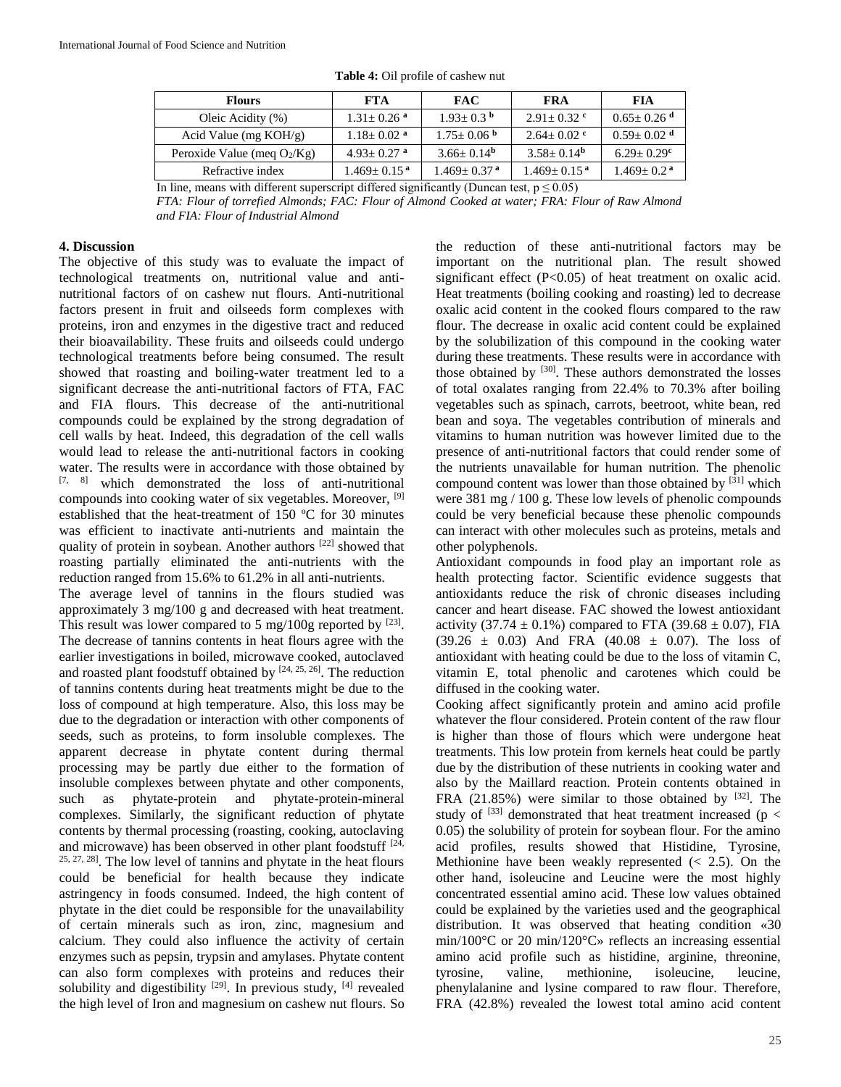| <b>FTA</b>                   | <b>FAC</b>                    | FRA                           | FIA                                              |
|------------------------------|-------------------------------|-------------------------------|--------------------------------------------------|
| $1.31 \pm 0.26$ <sup>a</sup> | $1.93 + 0.3b$                 | $2.91 + 0.32$ c               | $0.65 \pm 0.26$ <sup>d</sup>                     |
| $1.18 \pm 0.02$ <sup>a</sup> | $1.75 \pm 0.06$ b             | $2.64 + 0.02$ c               | $0.59 \pm 0.02$ <sup>d</sup>                     |
| $4.93 + 0.27$ <sup>a</sup>   | $3.66 \pm 0.14^{\rm b}$       | $3.58 + 0.14^b$               | $6.29 \pm 0.29$ <sup>c</sup>                     |
| $1.469 + 0.15$ <sup>a</sup>  | $1.469 \pm 0.37$ <sup>a</sup> | $1.469 \pm 0.15$ <sup>a</sup> | $1.469 \pm 0.2$ <sup>a</sup>                     |
|                              |                               | $\sim$ 1.00 1.00 1.00         | $\sim$ $\sim$ $\sim$ $\sim$ $\sim$ $\sim$ $\sim$ |

**Table 4:** Oil profile of cashew nut

In line, means with different superscript differed significantly (Duncan test,  $p \le 0.05$ )

*FTA: Flour of torrefied Almonds; FAC: Flour of Almond Cooked at water; FRA: Flour of Raw Almond and FIA: Flour of Industrial Almond*

#### **4. Discussion**

The objective of this study was to evaluate the impact of technological treatments on, nutritional value and antinutritional factors of on cashew nut flours. Anti-nutritional factors present in fruit and oilseeds form complexes with proteins, iron and enzymes in the digestive tract and reduced their bioavailability. These fruits and oilseeds could undergo technological treatments before being consumed. The result showed that roasting and boiling-water treatment led to a significant decrease the anti-nutritional factors of FTA, FAC and FIA flours. This decrease of the anti-nutritional compounds could be explained by the strong degradation of cell walls by heat. Indeed, this degradation of the cell walls would lead to release the anti-nutritional factors in cooking water. The results were in accordance with those obtained by [7, 8] which demonstrated the loss of anti-nutritional compounds into cooking water of six vegetables. Moreover, [9] established that the heat-treatment of 150 ºC for 30 minutes was efficient to inactivate anti-nutrients and maintain the quality of protein in soybean. Another authors <sup>[22]</sup> showed that roasting partially eliminated the anti-nutrients with the reduction ranged from 15.6% to 61.2% in all anti-nutrients.

The average level of tannins in the flours studied was approximately 3 mg/100 g and decreased with heat treatment. This result was lower compared to 5 mg/100g reported by  $^{[23]}$ . The decrease of tannins contents in heat flours agree with the earlier investigations in boiled, microwave cooked, autoclaved and roasted plant foodstuff obtained by  $[24, 25, 26]$ . The reduction of tannins contents during heat treatments might be due to the loss of compound at high temperature. Also, this loss may be due to the degradation or interaction with other components of seeds, such as proteins, to form insoluble complexes. The apparent decrease in phytate content during thermal processing may be partly due either to the formation of insoluble complexes between phytate and other components, such as phytate-protein and phytate-protein-mineral complexes. Similarly, the significant reduction of phytate contents by thermal processing (roasting, cooking, autoclaving and microwave) has been observed in other plant foodstuff  $[24, 1]$ 25, 27, 28]. The low level of tannins and phytate in the heat flours could be beneficial for health because they indicate astringency in foods consumed. Indeed, the high content of phytate in the diet could be responsible for the unavailability of certain minerals such as iron, zinc, magnesium and calcium. They could also influence the activity of certain enzymes such as pepsin, trypsin and amylases. Phytate content can also form complexes with proteins and reduces their solubility and digestibility  $[29]$ . In previous study,  $[4]$  revealed the high level of Iron and magnesium on cashew nut flours. So

the reduction of these anti-nutritional factors may be important on the nutritional plan. The result showed significant effect (P<0.05) of heat treatment on oxalic acid. Heat treatments (boiling cooking and roasting) led to decrease oxalic acid content in the cooked flours compared to the raw flour. The decrease in oxalic acid content could be explained by the solubilization of this compound in the cooking water during these treatments. These results were in accordance with those obtained by  $[30]$ . These authors demonstrated the losses of total oxalates ranging from 22.4% to 70.3% after boiling vegetables such as spinach, carrots, beetroot, white bean, red bean and soya. The vegetables contribution of minerals and vitamins to human nutrition was however limited due to the presence of anti-nutritional factors that could render some of the nutrients unavailable for human nutrition. The phenolic compound content was lower than those obtained by  $[31]$  which were 381 mg / 100 g. These low levels of phenolic compounds could be very beneficial because these phenolic compounds can interact with other molecules such as proteins, metals and other polyphenols.

Antioxidant compounds in food play an important role as health protecting factor. Scientific evidence suggests that antioxidants reduce the risk of chronic diseases including cancer and heart disease. FAC showed the lowest antioxidant activity (37.74  $\pm$  0.1%) compared to FTA (39.68  $\pm$  0.07), FIA  $(39.26 \pm 0.03)$  And FRA  $(40.08 \pm 0.07)$ . The loss of antioxidant with heating could be due to the loss of vitamin C, vitamin E, total phenolic and carotenes which could be diffused in the cooking water.

Cooking affect significantly protein and amino acid profile whatever the flour considered. Protein content of the raw flour is higher than those of flours which were undergone heat treatments. This low protein from kernels heat could be partly due by the distribution of these nutrients in cooking water and also by the Maillard reaction. Protein contents obtained in FRA  $(21.85%)$  were similar to those obtained by  $[32]$ . The study of  $^{[33]}$  demonstrated that heat treatment increased (p < 0.05) the solubility of protein for soybean flour. For the amino acid profiles, results showed that Histidine, Tyrosine, Methionine have been weakly represented (< 2.5). On the other hand, isoleucine and Leucine were the most highly concentrated essential amino acid. These low values obtained could be explained by the varieties used and the geographical distribution. It was observed that heating condition «30 min/100°C or 20 min/120°C» reflects an increasing essential amino acid profile such as histidine, arginine, threonine, tyrosine, valine, methionine, isoleucine, leucine, phenylalanine and lysine compared to raw flour. Therefore, FRA (42.8%) revealed the lowest total amino acid content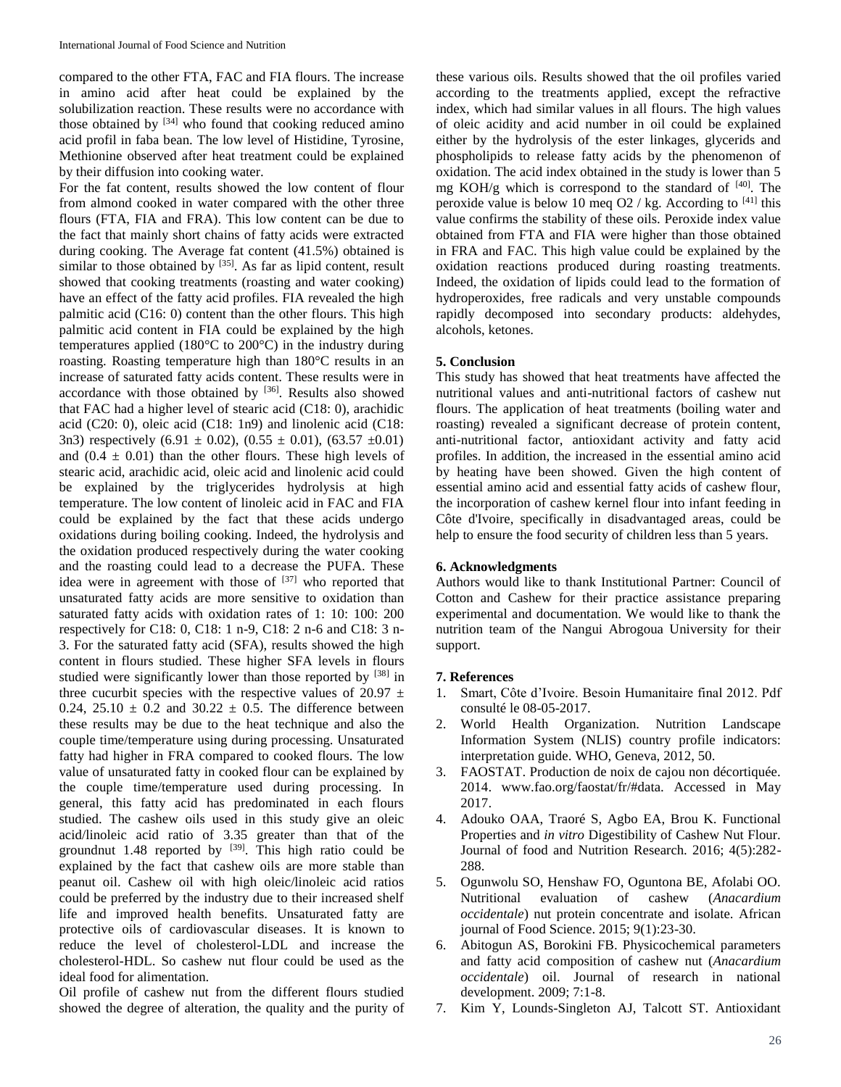compared to the other FTA, FAC and FIA flours. The increase in amino acid after heat could be explained by the solubilization reaction. These results were no accordance with those obtained by  $[34]$  who found that cooking reduced amino acid profil in faba bean. The low level of Histidine, Tyrosine, Methionine observed after heat treatment could be explained by their diffusion into cooking water.

For the fat content, results showed the low content of flour from almond cooked in water compared with the other three flours (FTA, FIA and FRA). This low content can be due to the fact that mainly short chains of fatty acids were extracted during cooking. The Average fat content (41.5%) obtained is similar to those obtained by  $[35]$ . As far as lipid content, result showed that cooking treatments (roasting and water cooking) have an effect of the fatty acid profiles. FIA revealed the high palmitic acid (C16: 0) content than the other flours. This high palmitic acid content in FIA could be explained by the high temperatures applied (180°C to 200°C) in the industry during roasting. Roasting temperature high than 180°C results in an increase of saturated fatty acids content. These results were in accordance with those obtained by [36]. Results also showed that FAC had a higher level of stearic acid (C18: 0), arachidic acid (C20: 0), oleic acid (C18: 1n9) and linolenic acid (C18: 3n3) respectively  $(6.91 \pm 0.02)$ ,  $(0.55 \pm 0.01)$ ,  $(63.57 \pm 0.01)$ and  $(0.4 \pm 0.01)$  than the other flours. These high levels of stearic acid, arachidic acid, oleic acid and linolenic acid could be explained by the triglycerides hydrolysis at high temperature. The low content of linoleic acid in FAC and FIA could be explained by the fact that these acids undergo oxidations during boiling cooking. Indeed, the hydrolysis and the oxidation produced respectively during the water cooking and the roasting could lead to a decrease the PUFA. These idea were in agreement with those of  $[37]$  who reported that unsaturated fatty acids are more sensitive to oxidation than saturated fatty acids with oxidation rates of 1: 10: 100: 200 respectively for C18: 0, C18: 1 n-9, C18: 2 n-6 and C18: 3 n-3. For the saturated fatty acid (SFA), results showed the high content in flours studied. These higher SFA levels in flours studied were significantly lower than those reported by [38] in three cucurbit species with the respective values of 20.97  $\pm$ 0.24, 25.10  $\pm$  0.2 and 30.22  $\pm$  0.5. The difference between these results may be due to the heat technique and also the couple time/temperature using during processing. Unsaturated fatty had higher in FRA compared to cooked flours. The low value of unsaturated fatty in cooked flour can be explained by the couple time/temperature used during processing. In general, this fatty acid has predominated in each flours studied. The cashew oils used in this study give an oleic acid/linoleic acid ratio of 3.35 greater than that of the groundnut 1.48 reported by  $[39]$ . This high ratio could be explained by the fact that cashew oils are more stable than peanut oil. Cashew oil with high oleic/linoleic acid ratios could be preferred by the industry due to their increased shelf life and improved health benefits. Unsaturated fatty are protective oils of cardiovascular diseases. It is known to reduce the level of cholesterol-LDL and increase the cholesterol-HDL. So cashew nut flour could be used as the ideal food for alimentation.

Oil profile of cashew nut from the different flours studied showed the degree of alteration, the quality and the purity of

these various oils. Results showed that the oil profiles varied according to the treatments applied, except the refractive index, which had similar values in all flours. The high values of oleic acidity and acid number in oil could be explained either by the hydrolysis of the ester linkages, glycerids and phospholipids to release fatty acids by the phenomenon of oxidation. The acid index obtained in the study is lower than 5 mg KOH/g which is correspond to the standard of  $[40]$ . The peroxide value is below 10 meq O2 / kg. According to  $[41]$  this value confirms the stability of these oils. Peroxide index value obtained from FTA and FIA were higher than those obtained in FRA and FAC. This high value could be explained by the oxidation reactions produced during roasting treatments. Indeed, the oxidation of lipids could lead to the formation of hydroperoxides, free radicals and very unstable compounds rapidly decomposed into secondary products: aldehydes, alcohols, ketones.

### **5. Conclusion**

This study has showed that heat treatments have affected the nutritional values and anti-nutritional factors of cashew nut flours. The application of heat treatments (boiling water and roasting) revealed a significant decrease of protein content, anti-nutritional factor, antioxidant activity and fatty acid profiles. In addition, the increased in the essential amino acid by heating have been showed. Given the high content of essential amino acid and essential fatty acids of cashew flour, the incorporation of cashew kernel flour into infant feeding in Côte d'Ivoire, specifically in disadvantaged areas, could be help to ensure the food security of children less than 5 years.

### **6. Acknowledgments**

Authors would like to thank Institutional Partner: Council of Cotton and Cashew for their practice assistance preparing experimental and documentation. We would like to thank the nutrition team of the Nangui Abrogoua University for their support.

#### **7. References**

- 1. Smart, Côte d'Ivoire. Besoin Humanitaire final 2012. Pdf consulté le 08-05-2017.
- 2. World Health Organization. Nutrition Landscape Information System (NLIS) country profile indicators: interpretation guide. WHO, Geneva, 2012, 50.
- 3. FAOSTAT. Production de noix de cajou non décortiquée. 2014. www.fao.org/faostat/fr/#data. Accessed in May 2017.
- 4. Adouko OAA, Traoré S, Agbo EA, Brou K. Functional Properties and *in vitro* Digestibility of Cashew Nut Flour. Journal of food and Nutrition Research. 2016; 4(5):282- 288.
- 5. Ogunwolu SO, Henshaw FO, Oguntona BE, Afolabi OO. Nutritional evaluation of cashew (*Anacardium occidentale*) nut protein concentrate and isolate. African journal of Food Science. 2015; 9(1):23-30.
- 6. Abitogun AS, Borokini FB. Physicochemical parameters and fatty acid composition of cashew nut (*Anacardium occidentale*) oil. Journal of research in national development. 2009; 7:1-8.
- 7. Kim Y, Lounds-Singleton AJ, Talcott ST. Antioxidant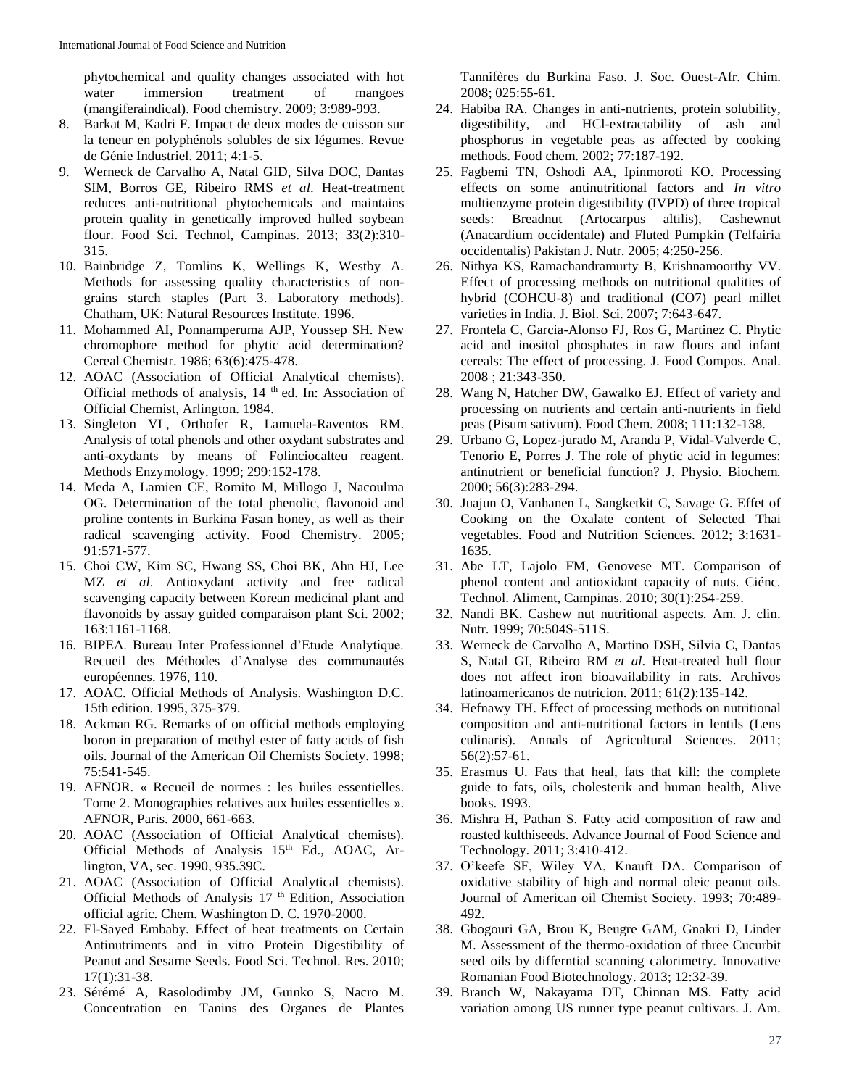phytochemical and quality changes associated with hot water immersion treatment of mangoes (mangiferaindical). Food chemistry. 2009; 3:989-993.

- 8. Barkat M, Kadri F. Impact de deux modes de cuisson sur la teneur en polyphénols solubles de six légumes. Revue de Génie Industriel. 2011; 4:1-5.
- 9. Werneck de Carvalho A, Natal GID, Silva DOC, Dantas SIM, Borros GE, Ribeiro RMS *et al*. Heat-treatment reduces anti-nutritional phytochemicals and maintains protein quality in genetically improved hulled soybean flour. Food Sci. Technol, Campinas. 2013; 33(2):310- 315.
- 10. Bainbridge Z, Tomlins K, Wellings K, Westby A. Methods for assessing quality characteristics of nongrains starch staples (Part 3. Laboratory methods). Chatham, UK: Natural Resources Institute. 1996.
- 11. Mohammed AI, Ponnamperuma AJP, Youssep SH. New chromophore method for phytic acid determination? Cereal Chemistr. 1986; 63(6):475-478.
- 12. AOAC (Association of Official Analytical chemists). Official methods of analysis, 14 th ed. In: Association of Official Chemist, Arlington. 1984.
- 13. Singleton VL, Orthofer R, Lamuela-Raventos RM. Analysis of total phenols and other oxydant substrates and anti-oxydants by means of Folinciocalteu reagent. Methods Enzymology. 1999; 299:152-178.
- 14. Meda A, Lamien CE, Romito M, Millogo J, Nacoulma OG. Determination of the total phenolic, flavonoid and proline contents in Burkina Fasan honey, as well as their radical scavenging activity. Food Chemistry. 2005; 91:571-577.
- 15. Choi CW, Kim SC, Hwang SS, Choi BK, Ahn HJ, Lee MZ *et al*. Antioxydant activity and free radical scavenging capacity between Korean medicinal plant and flavonoids by assay guided comparaison plant Sci. 2002; 163:1161-1168.
- 16. BIPEA. Bureau Inter Professionnel d'Etude Analytique. Recueil des Méthodes d'Analyse des communautés européennes. 1976, 110.
- 17. AOAC. Official Methods of Analysis. Washington D.C. 15th edition. 1995, 375-379.
- 18. Ackman RG. Remarks of on official methods employing boron in preparation of methyl ester of fatty acids of fish oils. Journal of the American Oil Chemists Society. 1998; 75:541-545.
- 19. AFNOR. « Recueil de normes : les huiles essentielles. Tome 2. Monographies relatives aux huiles essentielles ». AFNOR, Paris. 2000, 661-663.
- 20. AOAC (Association of Official Analytical chemists). Official Methods of Analysis 15<sup>th</sup> Ed., AOAC, Arlington, VA, sec. 1990, 935.39C.
- 21. AOAC (Association of Official Analytical chemists). Official Methods of Analysis 17<sup>th</sup> Edition, Association official agric. Chem. Washington D. C. 1970-2000.
- 22. El-Sayed Embaby. Effect of heat treatments on Certain Antinutriments and in vitro Protein Digestibility of Peanut and Sesame Seeds. Food Sci. Technol. Res. 2010; 17(1):31-38.
- 23. Sérémé A, Rasolodimby JM, Guinko S, Nacro M. Concentration en Tanins des Organes de Plantes

Tannifères du Burkina Faso. J. Soc. Ouest-Afr. Chim. 2008; 025:55-61.

- 24. Habiba RA. Changes in anti-nutrients, protein solubility, digestibility, and HCl-extractability of ash and phosphorus in vegetable peas as affected by cooking methods. Food chem. 2002; 77:187-192.
- 25. Fagbemi TN, Oshodi AA, Ipinmoroti KO. Processing effects on some antinutritional factors and *In vitro* multienzyme protein digestibility (IVPD) of three tropical seeds: Breadnut (Artocarpus altilis), Cashewnut (Anacardium occidentale) and Fluted Pumpkin (Telfairia occidentalis) Pakistan J. Nutr. 2005; 4:250-256.
- 26. Nithya KS, Ramachandramurty B, Krishnamoorthy VV. Effect of processing methods on nutritional qualities of hybrid (COHCU-8) and traditional (CO7) pearl millet varieties in India. J. Biol. Sci. 2007; 7:643-647.
- 27. Frontela C, Garcia-Alonso FJ, Ros G, Martinez C. Phytic acid and inositol phosphates in raw flours and infant cereals: The effect of processing. J. Food Compos. Anal. 2008 ; 21:343-350.
- 28. Wang N, Hatcher DW, Gawalko EJ. Effect of variety and processing on nutrients and certain anti-nutrients in field peas (Pisum sativum). Food Chem. 2008; 111:132-138.
- 29. Urbano G, Lopez-jurado M, Aranda P, Vidal-Valverde C, Tenorio E, Porres J. The role of phytic acid in legumes: antinutrient or beneficial function? J. Physio. Biochem*.* 2000; 56(3):283-294.
- 30. Juajun O, Vanhanen L, Sangketkit C, Savage G. Effet of Cooking on the Oxalate content of Selected Thai vegetables. Food and Nutrition Sciences. 2012; 3:1631- 1635.
- 31. Abe LT, Lajolo FM, Genovese MT. Comparison of phenol content and antioxidant capacity of nuts. Ciénc. Technol. Aliment, Campinas. 2010; 30(1):254-259.
- 32. Nandi BK. Cashew nut nutritional aspects. Am. J. clin. Nutr. 1999; 70:504S-511S.
- 33. Werneck de Carvalho A, Martino DSH, Silvia C, Dantas S, Natal GI, Ribeiro RM *et al*. Heat-treated hull flour does not affect iron bioavailability in rats. Archivos latinoamericanos de nutricion. 2011; 61(2):135-142.
- 34. Hefnawy TH. Effect of processing methods on nutritional composition and anti-nutritional factors in lentils (Lens culinaris). Annals of Agricultural Sciences. 2011; 56(2):57-61.
- 35. Erasmus U. Fats that heal, fats that kill: the complete guide to fats, oils, cholesterik and human health, Alive books. 1993.
- 36. Mishra H, Pathan S. Fatty acid composition of raw and roasted kulthiseeds. Advance Journal of Food Science and Technology. 2011; 3:410-412.
- 37. O'keefe SF, Wiley VA, Knauft DA. Comparison of oxidative stability of high and normal oleic peanut oils. Journal of American oil Chemist Society. 1993; 70:489- 492.
- 38. Gbogouri GA, Brou K, Beugre GAM, Gnakri D, Linder M. Assessment of the thermo-oxidation of three Cucurbit seed oils by differntial scanning calorimetry. Innovative Romanian Food Biotechnology. 2013; 12:32-39.
- 39. Branch W, Nakayama DT, Chinnan MS. Fatty acid variation among US runner type peanut cultivars. J. Am.